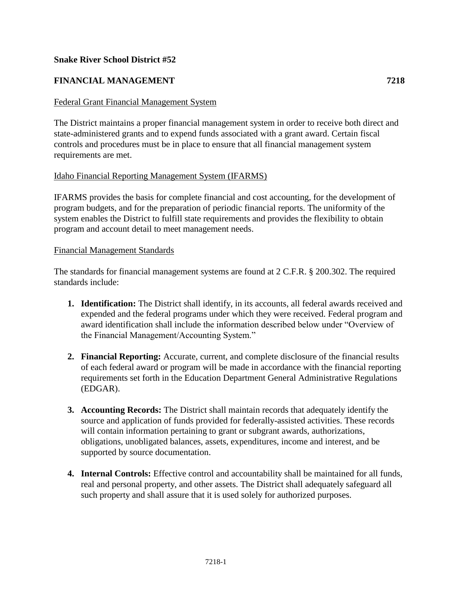#### **Snake River School District #52**

## **FINANCIAL MANAGEMENT 7218**

#### Federal Grant Financial Management System

The District maintains a proper financial management system in order to receive both direct and state-administered grants and to expend funds associated with a grant award. Certain fiscal controls and procedures must be in place to ensure that all financial management system requirements are met.

#### Idaho Financial Reporting Management System (IFARMS)

IFARMS provides the basis for complete financial and cost accounting, for the development of program budgets, and for the preparation of periodic financial reports. The uniformity of the system enables the District to fulfill state requirements and provides the flexibility to obtain program and account detail to meet management needs.

#### Financial Management Standards

The standards for financial management systems are found at 2 C.F.R. § 200.302. The required standards include:

- **1. Identification:** The District shall identify, in its accounts, all federal awards received and expended and the federal programs under which they were received. Federal program and award identification shall include the information described below under "Overview of the Financial Management/Accounting System."
- **2. Financial Reporting:** Accurate, current, and complete disclosure of the financial results of each federal award or program will be made in accordance with the financial reporting requirements set forth in the Education Department General Administrative Regulations (EDGAR).
- **3. Accounting Records:** The District shall maintain records that adequately identify the source and application of funds provided for federally-assisted activities. These records will contain information pertaining to grant or subgrant awards, authorizations, obligations, unobligated balances, assets, expenditures, income and interest, and be supported by source documentation.
- **4. Internal Controls:** Effective control and accountability shall be maintained for all funds, real and personal property, and other assets. The District shall adequately safeguard all such property and shall assure that it is used solely for authorized purposes.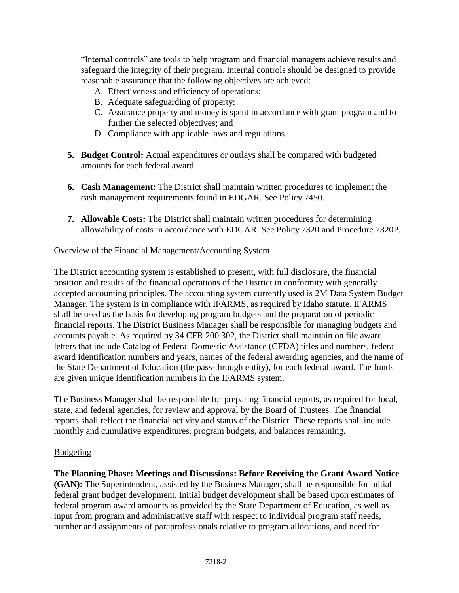"Internal controls" are tools to help program and financial managers achieve results and safeguard the integrity of their program. Internal controls should be designed to provide reasonable assurance that the following objectives are achieved:

- A. Effectiveness and efficiency of operations;
- B. Adequate safeguarding of property;
- C. Assurance property and money is spent in accordance with grant program and to further the selected objectives; and
- D. Compliance with applicable laws and regulations.
- **5. Budget Control:** Actual expenditures or outlays shall be compared with budgeted amounts for each federal award.
- **6. Cash Management:** The District shall maintain written procedures to implement the cash management requirements found in EDGAR. See Policy 7450.
- **7. Allowable Costs:** The District shall maintain written procedures for determining allowability of costs in accordance with EDGAR. See Policy 7320 and Procedure 7320P.

## Overview of the Financial Management/Accounting System

The District accounting system is established to present, with full disclosure, the financial position and results of the financial operations of the District in conformity with generally accepted accounting principles. The accounting system currently used is 2M Data System Budget Manager. The system is in compliance with IFARMS, as required by Idaho statute. IFARMS shall be used as the basis for developing program budgets and the preparation of periodic financial reports. The District Business Manager shall be responsible for managing budgets and accounts payable. As required by 34 CFR 200.302, the District shall maintain on file award letters that include Catalog of Federal Domestic Assistance (CFDA) titles and numbers, federal award identification numbers and years, names of the federal awarding agencies, and the name of the State Department of Education (the pass-through entity), for each federal award. The funds are given unique identification numbers in the IFARMS system.

The Business Manager shall be responsible for preparing financial reports, as required for local, state, and federal agencies, for review and approval by the Board of Trustees. The financial reports shall reflect the financial activity and status of the District. These reports shall include monthly and cumulative expenditures, program budgets, and balances remaining.

## **Budgeting**

**The Planning Phase: Meetings and Discussions: Before Receiving the Grant Award Notice (GAN):** The Superintendent, assisted by the Business Manager, shall be responsible for initial federal grant budget development. Initial budget development shall be based upon estimates of federal program award amounts as provided by the State Department of Education, as well as input from program and administrative staff with respect to individual program staff needs, number and assignments of paraprofessionals relative to program allocations, and need for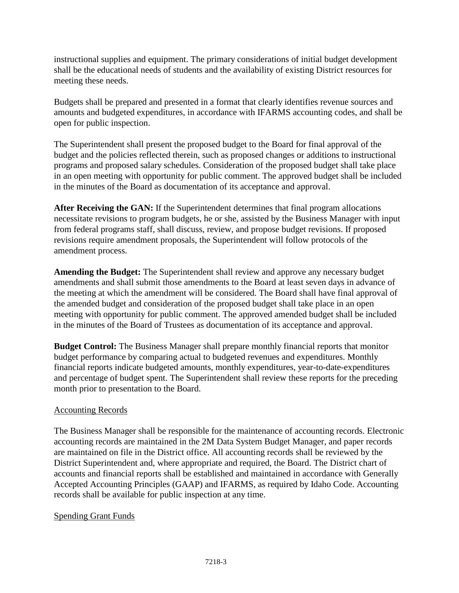instructional supplies and equipment. The primary considerations of initial budget development shall be the educational needs of students and the availability of existing District resources for meeting these needs.

Budgets shall be prepared and presented in a format that clearly identifies revenue sources and amounts and budgeted expenditures, in accordance with IFARMS accounting codes, and shall be open for public inspection.

The Superintendent shall present the proposed budget to the Board for final approval of the budget and the policies reflected therein, such as proposed changes or additions to instructional programs and proposed salary schedules. Consideration of the proposed budget shall take place in an open meeting with opportunity for public comment. The approved budget shall be included in the minutes of the Board as documentation of its acceptance and approval.

**After Receiving the GAN:** If the Superintendent determines that final program allocations necessitate revisions to program budgets, he or she, assisted by the Business Manager with input from federal programs staff, shall discuss, review, and propose budget revisions. If proposed revisions require amendment proposals, the Superintendent will follow protocols of the amendment process.

**Amending the Budget:** The Superintendent shall review and approve any necessary budget amendments and shall submit those amendments to the Board at least seven days in advance of the meeting at which the amendment will be considered. The Board shall have final approval of the amended budget and consideration of the proposed budget shall take place in an open meeting with opportunity for public comment. The approved amended budget shall be included in the minutes of the Board of Trustees as documentation of its acceptance and approval.

**Budget Control:** The Business Manager shall prepare monthly financial reports that monitor budget performance by comparing actual to budgeted revenues and expenditures. Monthly financial reports indicate budgeted amounts, monthly expenditures, year-to-date-expenditures and percentage of budget spent. The Superintendent shall review these reports for the preceding month prior to presentation to the Board.

## Accounting Records

The Business Manager shall be responsible for the maintenance of accounting records. Electronic accounting records are maintained in the 2M Data System Budget Manager, and paper records are maintained on file in the District office. All accounting records shall be reviewed by the District Superintendent and, where appropriate and required, the Board. The District chart of accounts and financial reports shall be established and maintained in accordance with Generally Accepted Accounting Principles (GAAP) and IFARMS, as required by Idaho Code. Accounting records shall be available for public inspection at any time.

## Spending Grant Funds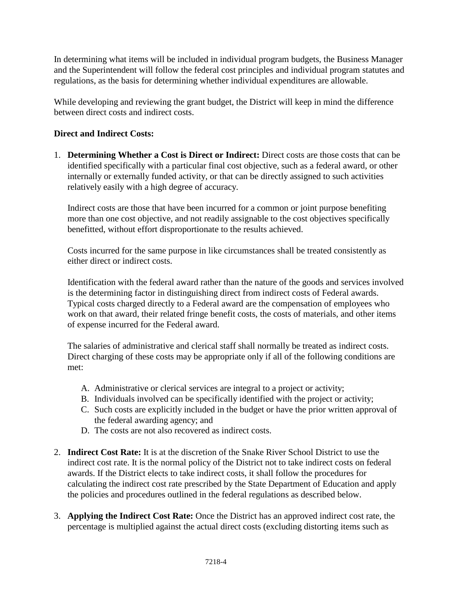In determining what items will be included in individual program budgets, the Business Manager and the Superintendent will follow the federal cost principles and individual program statutes and regulations, as the basis for determining whether individual expenditures are allowable.

While developing and reviewing the grant budget, the District will keep in mind the difference between direct costs and indirect costs.

# **Direct and Indirect Costs:**

1. **Determining Whether a Cost is Direct or Indirect:** Direct costs are those costs that can be identified specifically with a particular final cost objective, such as a federal award, or other internally or externally funded activity, or that can be directly assigned to such activities relatively easily with a high degree of accuracy.

Indirect costs are those that have been incurred for a common or joint purpose benefiting more than one cost objective, and not readily assignable to the cost objectives specifically benefitted, without effort disproportionate to the results achieved.

Costs incurred for the same purpose in like circumstances shall be treated consistently as either direct or indirect costs.

Identification with the federal award rather than the nature of the goods and services involved is the determining factor in distinguishing direct from indirect costs of Federal awards. Typical costs charged directly to a Federal award are the compensation of employees who work on that award, their related fringe benefit costs, the costs of materials, and other items of expense incurred for the Federal award.

The salaries of administrative and clerical staff shall normally be treated as indirect costs. Direct charging of these costs may be appropriate only if all of the following conditions are met:

- A. Administrative or clerical services are integral to a project or activity;
- B. Individuals involved can be specifically identified with the project or activity;
- C. Such costs are explicitly included in the budget or have the prior written approval of the federal awarding agency; and
- D. The costs are not also recovered as indirect costs.
- 2. **Indirect Cost Rate:** It is at the discretion of the Snake River School District to use the indirect cost rate. It is the normal policy of the District not to take indirect costs on federal awards. If the District elects to take indirect costs, it shall follow the procedures for calculating the indirect cost rate prescribed by the State Department of Education and apply the policies and procedures outlined in the federal regulations as described below.
- 3. **Applying the Indirect Cost Rate:** Once the District has an approved indirect cost rate, the percentage is multiplied against the actual direct costs (excluding distorting items such as